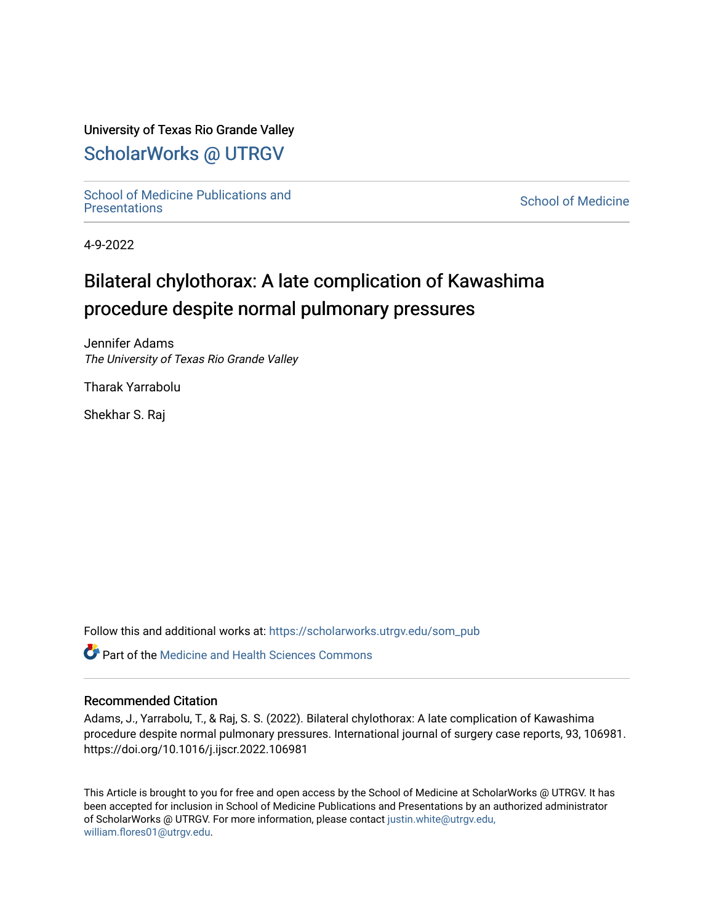## University of Texas Rio Grande Valley

## [ScholarWorks @ UTRGV](https://scholarworks.utrgv.edu/)

School of Medicine Publications and<br>Presentations

**School of Medicine** 

4-9-2022

# Bilateral chylothorax: A late complication of Kawashima procedure despite normal pulmonary pressures

Jennifer Adams The University of Texas Rio Grande Valley

Tharak Yarrabolu

Shekhar S. Raj

Follow this and additional works at: [https://scholarworks.utrgv.edu/som\\_pub](https://scholarworks.utrgv.edu/som_pub?utm_source=scholarworks.utrgv.edu%2Fsom_pub%2F516&utm_medium=PDF&utm_campaign=PDFCoverPages) 

Part of the [Medicine and Health Sciences Commons](http://network.bepress.com/hgg/discipline/648?utm_source=scholarworks.utrgv.edu%2Fsom_pub%2F516&utm_medium=PDF&utm_campaign=PDFCoverPages) 

### Recommended Citation

Adams, J., Yarrabolu, T., & Raj, S. S. (2022). Bilateral chylothorax: A late complication of Kawashima procedure despite normal pulmonary pressures. International journal of surgery case reports, 93, 106981. https://doi.org/10.1016/j.ijscr.2022.106981

This Article is brought to you for free and open access by the School of Medicine at ScholarWorks @ UTRGV. It has been accepted for inclusion in School of Medicine Publications and Presentations by an authorized administrator of ScholarWorks @ UTRGV. For more information, please contact [justin.white@utrgv.edu,](mailto:justin.white@utrgv.edu,%20william.flores01@utrgv.edu) [william.flores01@utrgv.edu](mailto:justin.white@utrgv.edu,%20william.flores01@utrgv.edu).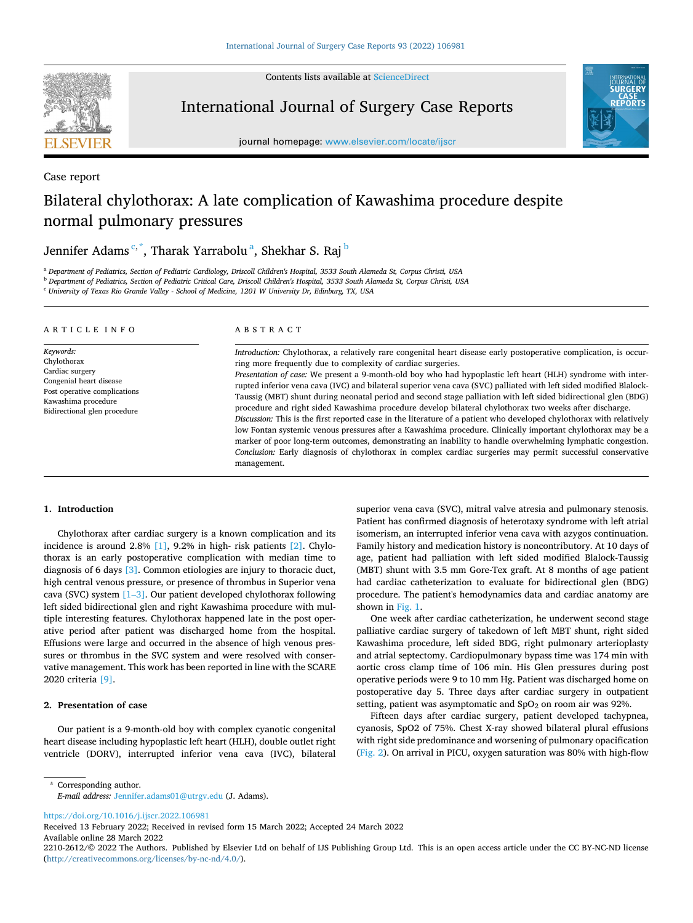

Case report

Contents lists available at [ScienceDirect](www.sciencedirect.com/science/journal/22102612)

International Journal of Surgery Case Reports



journal homepage: [www.elsevier.com/locate/ijscr](https://www.elsevier.com/locate/ijscr)

## Bilateral chylothorax: A late complication of Kawashima procedure despite normal pulmonary pressures

## Jennifer Adams<sup>c,\*</sup>, Tharak Yarrabolu<sup>a</sup>, Shekhar S. Raj <sup>b</sup>

<sup>a</sup> *Department of Pediatrics, Section of Pediatric Cardiology, Driscoll Children's Hospital, 3533 South Alameda St, Corpus Christi, USA* 

<sup>b</sup> *Department of Pediatrics, Section of Pediatric Critical Care, Driscoll Children's Hospital, 3533 South Alameda St, Corpus Christi, USA* 

<sup>c</sup> *University of Texas Rio Grande Valley - School of Medicine, 1201 W University Dr, Edinburg, TX, USA* 

#### ARTICLE INFO

*Keywords:*  Chylothorax Cardiac surgery Congenial heart disease Post operative complications Kawashima procedure Bidirectional glen procedure

#### ABSTRACT

*Introduction:* Chylothorax, a relatively rare congenital heart disease early postoperative complication, is occurring more frequently due to complexity of cardiac surgeries. *Presentation of case:* We present a 9-month-old boy who had hypoplastic left heart (HLH) syndrome with interrupted inferior vena cava (IVC) and bilateral superior vena cava (SVC) palliated with left sided modified Blalock-Taussig (MBT) shunt during neonatal period and second stage palliation with left sided bidirectional glen (BDG) procedure and right sided Kawashima procedure develop bilateral chylothorax two weeks after discharge. *Discussion:* This is the first reported case in the literature of a patient who developed chylothorax with relatively low Fontan systemic venous pressures after a Kawashima procedure. Clinically important chylothorax may be a

marker of poor long-term outcomes, demonstrating an inability to handle overwhelming lymphatic congestion. *Conclusion:* Early diagnosis of chylothorax in complex cardiac surgeries may permit successful conservative management.

#### **1. Introduction**

Chylothorax after cardiac surgery is a known complication and its incidence is around 2.8% [\[1\],](#page-3-0) 9.2% in high- risk patients [\[2\]](#page-3-0). Chylothorax is an early postoperative complication with median time to diagnosis of 6 days [\[3\].](#page-3-0) Common etiologies are injury to thoracic duct, high central venous pressure, or presence of thrombus in Superior vena cava (SVC) system [\[1](#page-3-0)–3]. Our patient developed chylothorax following left sided bidirectional glen and right Kawashima procedure with multiple interesting features. Chylothorax happened late in the post operative period after patient was discharged home from the hospital. Effusions were large and occurred in the absence of high venous pressures or thrombus in the SVC system and were resolved with conservative management. This work has been reported in line with the SCARE 2020 criteria [\[9\]](#page-3-0).

#### **2. Presentation of case**

Our patient is a 9-month-old boy with complex cyanotic congenital heart disease including hypoplastic left heart (HLH), double outlet right ventricle (DORV), interrupted inferior vena cava (IVC), bilateral

superior vena cava (SVC), mitral valve atresia and pulmonary stenosis. Patient has confirmed diagnosis of heterotaxy syndrome with left atrial isomerism, an interrupted inferior vena cava with azygos continuation. Family history and medication history is noncontributory. At 10 days of age, patient had palliation with left sided modified Blalock-Taussig (MBT) shunt with 3.5 mm Gore-Tex graft. At 8 months of age patient had cardiac catheterization to evaluate for bidirectional glen (BDG) procedure. The patient's hemodynamics data and cardiac anatomy are shown in [Fig. 1](#page-2-0).

One week after cardiac catheterization, he underwent second stage palliative cardiac surgery of takedown of left MBT shunt, right sided Kawashima procedure, left sided BDG, right pulmonary arterioplasty and atrial septectomy. Cardiopulmonary bypass time was 174 min with aortic cross clamp time of 106 min. His Glen pressures during post operative periods were 9 to 10 mm Hg. Patient was discharged home on postoperative day 5. Three days after cardiac surgery in outpatient setting, patient was asymptomatic and  $SpO<sub>2</sub>$  on room air was 92%.

Fifteen days after cardiac surgery, patient developed tachypnea, cyanosis, SpO2 of 75%. Chest X-ray showed bilateral plural effusions with right side predominance and worsening of pulmonary opacification ([Fig. 2](#page-3-0)). On arrival in PICU, oxygen saturation was 80% with high-flow

\* Corresponding author. *E-mail address:* [Jennifer.adams01@utrgv.edu](mailto:Jennifer.adams01@utrgv.edu) (J. Adams).

<https://doi.org/10.1016/j.ijscr.2022.106981>

Available online 28 March 2022 Received 13 February 2022; Received in revised form 15 March 2022; Accepted 24 March 2022

<sup>2210-2612/© 2022</sup> The Authors. Published by Elsevier Ltd on behalf of IJS Publishing Group Ltd. This is an open access article under the CC BY-NC-ND license [\(http://creativecommons.org/licenses/by-nc-nd/4.0/\)](http://creativecommons.org/licenses/by-nc-nd/4.0/).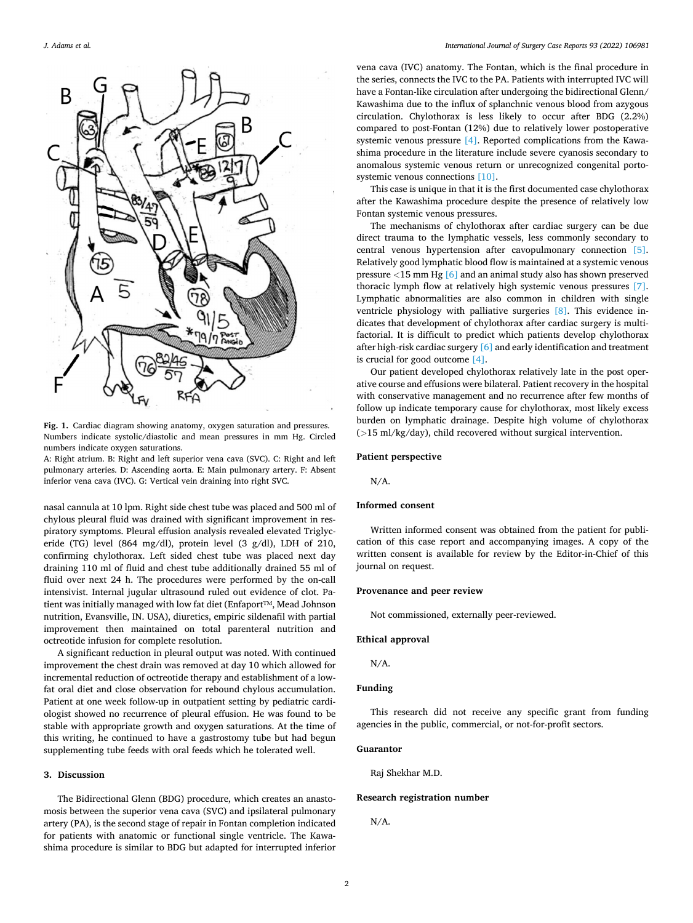<span id="page-2-0"></span>

**Fig. 1.** Cardiac diagram showing anatomy, oxygen saturation and pressures. Numbers indicate systolic/diastolic and mean pressures in mm Hg. Circled numbers indicate oxygen saturations.

A: Right atrium. B: Right and left superior vena cava (SVC). C: Right and left pulmonary arteries. D: Ascending aorta. E: Main pulmonary artery. F: Absent inferior vena cava (IVC). G: Vertical vein draining into right SVC.

nasal cannula at 10 lpm. Right side chest tube was placed and 500 ml of chylous pleural fluid was drained with significant improvement in respiratory symptoms. Pleural effusion analysis revealed elevated Triglyceride (TG) level (864 mg/dl), protein level (3 g/dl), LDH of 210, confirming chylothorax. Left sided chest tube was placed next day draining 110 ml of fluid and chest tube additionally drained 55 ml of fluid over next 24 h. The procedures were performed by the on-call intensivist. Internal jugular ultrasound ruled out evidence of clot. Patient was initially managed with low fat diet (Enfaport™, Mead Johnson nutrition, Evansville, IN. USA), diuretics, empiric sildenafil with partial improvement then maintained on total parenteral nutrition and octreotide infusion for complete resolution.

A significant reduction in pleural output was noted. With continued improvement the chest drain was removed at day 10 which allowed for incremental reduction of octreotide therapy and establishment of a lowfat oral diet and close observation for rebound chylous accumulation. Patient at one week follow-up in outpatient setting by pediatric cardiologist showed no recurrence of pleural effusion. He was found to be stable with appropriate growth and oxygen saturations. At the time of this writing, he continued to have a gastrostomy tube but had begun supplementing tube feeds with oral feeds which he tolerated well.

#### **3. Discussion**

The Bidirectional Glenn (BDG) procedure, which creates an anastomosis between the superior vena cava (SVC) and ipsilateral pulmonary artery (PA), is the second stage of repair in Fontan completion indicated for patients with anatomic or functional single ventricle. The Kawashima procedure is similar to BDG but adapted for interrupted inferior

vena cava (IVC) anatomy. The Fontan, which is the final procedure in the series, connects the IVC to the PA. Patients with interrupted IVC will have a Fontan-like circulation after undergoing the bidirectional Glenn/ Kawashima due to the influx of splanchnic venous blood from azygous circulation. Chylothorax is less likely to occur after BDG (2.2%) compared to post-Fontan (12%) due to relatively lower postoperative systemic venous pressure [\[4\]](#page-3-0). Reported complications from the Kawashima procedure in the literature include severe cyanosis secondary to anomalous systemic venous return or unrecognized congenital portosystemic venous connections [\[10\]](#page-3-0).

This case is unique in that it is the first documented case chylothorax after the Kawashima procedure despite the presence of relatively low Fontan systemic venous pressures.

The mechanisms of chylothorax after cardiac surgery can be due direct trauma to the lymphatic vessels, less commonly secondary to central venous hypertension after cavopulmonary connection [\[5\]](#page-3-0). Relatively good lymphatic blood flow is maintained at a systemic venous pressure *<*15 mm Hg [\[6\]](#page-3-0) and an animal study also has shown preserved thoracic lymph flow at relatively high systemic venous pressures [\[7\]](#page-3-0). Lymphatic abnormalities are also common in children with single ventricle physiology with palliative surgeries [\[8\].](#page-3-0) This evidence indicates that development of chylothorax after cardiac surgery is multifactorial. It is difficult to predict which patients develop chylothorax after high-risk cardiac surgery [\[6\]](#page-3-0) and early identification and treatment is crucial for good outcome [\[4\].](#page-3-0)

Our patient developed chylothorax relatively late in the post operative course and effusions were bilateral. Patient recovery in the hospital with conservative management and no recurrence after few months of follow up indicate temporary cause for chylothorax, most likely excess burden on lymphatic drainage. Despite high volume of chylothorax (*>*15 ml/kg/day), child recovered without surgical intervention.

#### **Patient perspective**

N/A.

#### **Informed consent**

Written informed consent was obtained from the patient for publication of this case report and accompanying images. A copy of the written consent is available for review by the Editor-in-Chief of this journal on request.

#### **Provenance and peer review**

Not commissioned, externally peer-reviewed.

#### **Ethical approval**

N/A.

#### **Funding**

This research did not receive any specific grant from funding agencies in the public, commercial, or not-for-profit sectors.

#### **Guarantor**

Raj Shekhar M.D.

#### **Research registration number**

N/A.